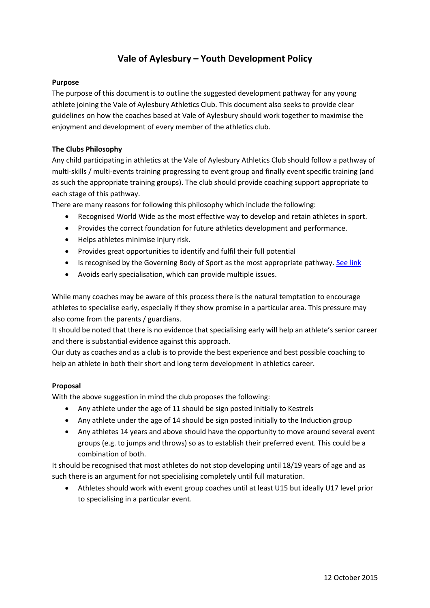# **Vale of Aylesbury – Youth Development Policy**

## **Purpose**

The purpose of this document is to outline the suggested development pathway for any young athlete joining the Vale of Aylesbury Athletics Club. This document also seeks to provide clear guidelines on how the coaches based at Vale of Aylesbury should work together to maximise the enjoyment and development of every member of the athletics club.

### **The Clubs Philosophy**

Any child participating in athletics at the Vale of Aylesbury Athletics Club should follow a pathway of multi-skills / multi-events training progressing to event group and finally event specific training (and as such the appropriate training groups). The club should provide coaching support appropriate to each stage of this pathway.

There are many reasons for following this philosophy which include the following:

- Recognised World Wide as the most effective way to develop and retain athletes in sport.
- Provides the correct foundation for future athletics development and performance.
- Helps athletes minimise injury risk.
- Provides great opportunities to identify and fulfil their full potential
- Is recognised by the Governing Body of Sport as the most appropriate pathway[. See link](http://ucoach.com/coaching/athlete_development/#genericadm)
- Avoids early specialisation, which can provide multiple issues.

While many coaches may be aware of this process there is the natural temptation to encourage athletes to specialise early, especially if they show promise in a particular area. This pressure may also come from the parents / guardians.

It should be noted that there is no evidence that specialising early will help an athlete's senior career and there is substantial evidence against this approach.

Our duty as coaches and as a club is to provide the best experience and best possible coaching to help an athlete in both their short and long term development in athletics career.

#### **Proposal**

With the above suggestion in mind the club proposes the following:

- Any athlete under the age of 11 should be sign posted initially to Kestrels
- Any athlete under the age of 14 should be sign posted initially to the Induction group
- Any athletes 14 years and above should have the opportunity to move around several event groups (e.g. to jumps and throws) so as to establish their preferred event. This could be a combination of both.

It should be recognised that most athletes do not stop developing until 18/19 years of age and as such there is an argument for not specialising completely until full maturation.

 Athletes should work with event group coaches until at least U15 but ideally U17 level prior to specialising in a particular event.